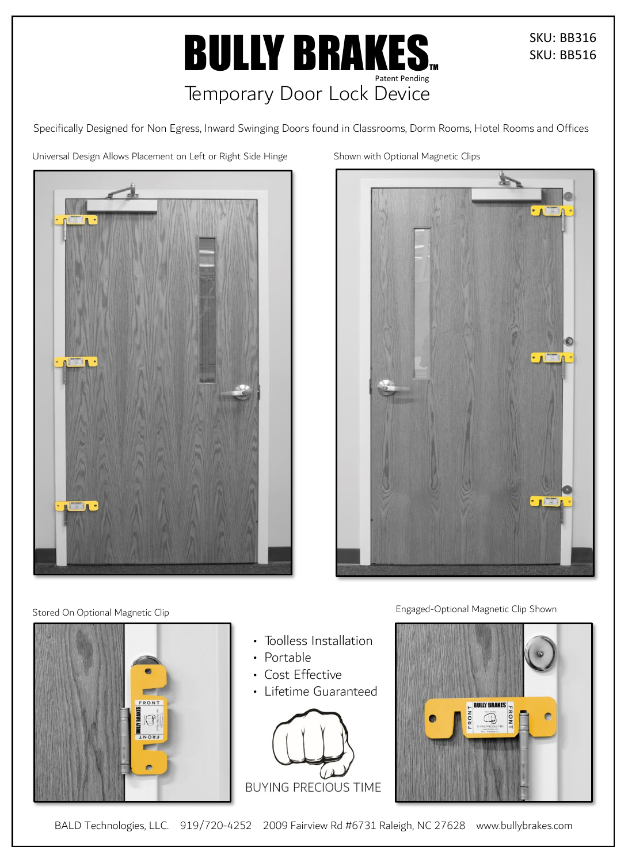# **BULLY BRAKES.** Patent Pending<br>Temporary Door Lock Device

SKU: BB316 SKU: BB516

Specifically Designed for Non Egress, Inward Swinging Doors found in Classrooms, Dorm Rooms, Hotel Rooms and Offices

Universal Design Allows Placement on Left or Right Side Hinge



Shown with Optional Magnetic Clips



Engaged-Optional Magnetic Clip Shown



Stored On Optional Magnetic Clip



- Toolless Installation
- Portable
- Cost Effective
- Lifetime Guaranteed